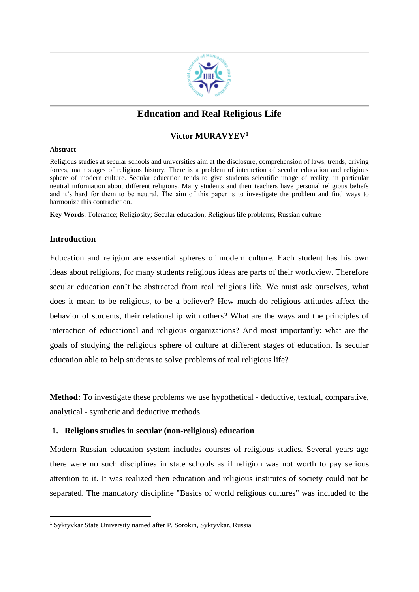

# **Education and Real Religious Life**

## **Victor MURAVYEV<sup>1</sup>**

#### **Abstract**

Religious studies at secular schools and universities aim at the disclosure, comprehension of laws, trends, driving forces, main stages of religious history. There is a problem of interaction of secular education and religious sphere of modern culture. Secular education tends to give students scientific image of reality, in particular neutral information about different religions. Many students and their teachers have personal religious beliefs and it's hard for them to be neutral. The aim of this paper is to investigate the problem and find ways to harmonize this contradiction.

**Key Words**: Tolerance; Religiosity; Secular education; Religious life problems; Russian culture

## **Introduction**

**.** 

Education and religion are essential spheres of modern culture. Each student has his own ideas about religions, for many students religious ideas are parts of their worldview. Therefore secular education can't be abstracted from real religious life. We must ask ourselves, what does it mean to be religious, to be a believer? How much do religious attitudes affect the behavior of students, their relationship with others? What are the ways and the principles of interaction of educational and religious organizations? And most importantly: what are the goals of studying the religious sphere of culture at different stages of education. Is secular education able to help students to solve problems of real religious life?

**Method:** To investigate these problems we use hypothetical - deductive, textual, comparative, analytical - synthetic and deductive methods.

## **1. Religious studies in secular (non-religious) education**

Modern Russian education system includes courses of religious studies. Several years ago there were no such disciplines in state schools as if religion was not worth to pay serious attention to it. It was realized then education and religious institutes of society could not be separated. The mandatory discipline "Basics of world religious cultures" was included to the

<sup>1</sup> Syktyvkar State University named after P. Sorokin, Syktyvkar, Russia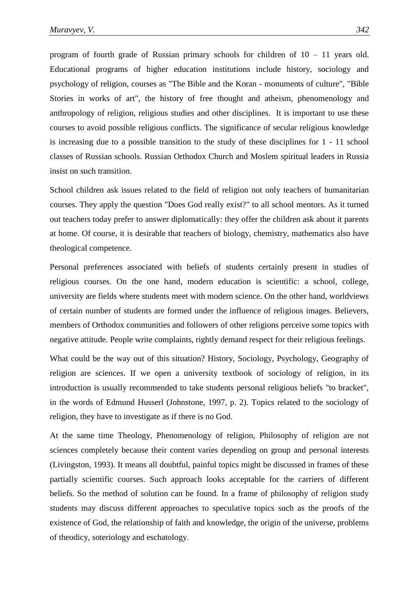program of fourth grade of Russian primary schools for children of 10 – 11 years old. Educational programs of higher education institutions include history, sociology and psychology of religion, courses as "The Bible and the Koran - monuments of culture", "Bible Stories in works of art", the history of free thought and atheism, phenomenology and anthropology of religion, religious studies and other disciplines. It is important to use these courses to avoid possible religious conflicts. The significance of secular religious knowledge is increasing due to a possible transition to the study of these disciplines for 1 - 11 school classes of Russian schools. Russian Orthodox Church and Moslem spiritual leaders in Russia insist on such transition.

School children ask issues related to the field of religion not only teachers of humanitarian courses. They apply the question "Does God really exist?" to all school mentors. As it turned out teachers today prefer to answer diplomatically: they offer the children ask about it parents at home. Of course, it is desirable that teachers of biology, chemistry, mathematics also have theological competence.

Personal preferences associated with beliefs of students certainly present in studies of religious courses. On the one hand, modern education is scientific: a school, college, university are fields where students meet with modern science. On the other hand, worldviews of certain number of students are formed under the influence of religious images. Believers, members of Orthodox communities and followers of other religions perceive some topics with negative attitude. People write complaints, rightly demand respect for their religious feelings.

What could be the way out of this situation? History, Sociology, Psychology, Geography of religion are sciences. If we open a university textbook of sociology of religion, in its introduction is usually recommended to take students personal religious beliefs "to bracket", in the words of Edmund Husserl (Johnstone, 1997, p. 2). Topics related to the sociology of religion, they have to investigate as if there is no God.

At the same time Theology, Phenomenology of religion, Philosophy of religion are not sciences completely because their content varies depending on group and personal interests (Livingston, 1993). It means all doubtful, painful topics might be discussed in frames of these partially scientific courses. Such approach looks acceptable for the carriers of different beliefs. So the method of solution can be found. In a frame of philosophy of religion study students may discuss different approaches to speculative topics such as the proofs of the existence of God, the relationship of faith and knowledge, the origin of the universe, problems of theodicy, soteriology and eschatology.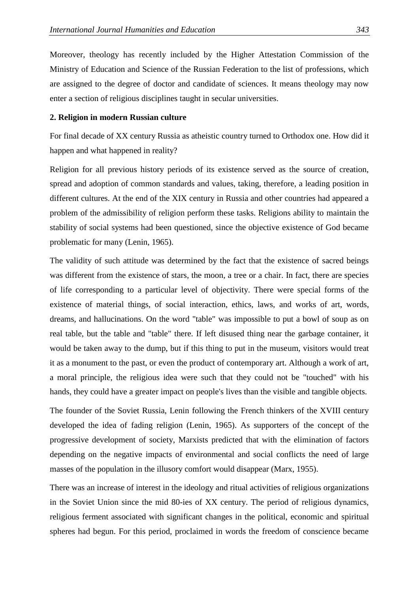Moreover, theology has recently included by the Higher Attestation Commission of the Ministry of Education and Science of the Russian Federation to the list of professions, which are assigned to the degree of doctor and candidate of sciences. It means theology may now enter a section of religious disciplines taught in secular universities.

#### **2. Religion in modern Russian culture**

For final decade of XX century Russia as atheistic country turned to Orthodox one. How did it happen and what happened in reality?

Religion for all previous history periods of its existence served as the source of creation, spread and adoption of common standards and values, taking, therefore, a leading position in different cultures. At the end of the XIX century in Russia and other countries had appeared a problem of the admissibility of religion perform these tasks. Religions ability to maintain the stability of social systems had been questioned, since the objective existence of God became problematic for many (Lenin, 1965).

The validity of such attitude was determined by the fact that the existence of sacred beings was different from the existence of stars, the moon, a tree or a chair. In fact, there are species of life corresponding to a particular level of objectivity. There were special forms of the existence of material things, of social interaction, ethics, laws, and works of art, words, dreams, and hallucinations. On the word "table" was impossible to put a bowl of soup as on real table, but the table and "table" there. If left disused thing near the garbage container, it would be taken away to the dump, but if this thing to put in the museum, visitors would treat it as a monument to the past, or even the product of contemporary art. Although a work of art, a moral principle, the religious idea were such that they could not be "touched" with his hands, they could have a greater impact on people's lives than the visible and tangible objects.

The founder of the Soviet Russia, Lenin following the French thinkers of the XVIII century developed the idea of fading religion (Lenin, 1965). As supporters of the concept of the progressive development of society, Marxists predicted that with the elimination of factors depending on the negative impacts of environmental and social conflicts the need of large masses of the population in the illusory comfort would disappear (Marx, 1955).

There was an increase of interest in the ideology and ritual activities of religious organizations in the Soviet Union since the mid 80-ies of XX century. The period of religious dynamics, religious ferment associated with significant changes in the political, economic and spiritual spheres had begun. For this period, proclaimed in words the freedom of conscience became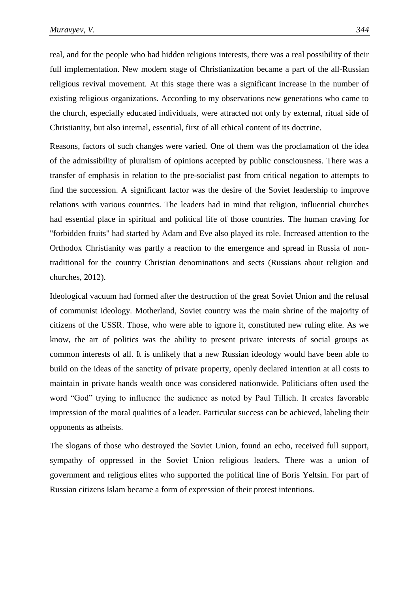real, and for the people who had hidden religious interests, there was a real possibility of their full implementation. New modern stage of Christianization became a part of the all-Russian religious revival movement. At this stage there was a significant increase in the number of existing religious organizations. According to my observations new generations who came to the church, especially educated individuals, were attracted not only by external, ritual side of Christianity, but also internal, essential, first of all ethical content of its doctrine.

Reasons, factors of such changes were varied. One of them was the proclamation of the idea of the admissibility of pluralism of opinions accepted by public consciousness. There was a transfer of emphasis in relation to the pre-socialist past from critical negation to attempts to find the succession. A significant factor was the desire of the Soviet leadership to improve relations with various countries. The leaders had in mind that religion, influential churches had essential place in spiritual and political life of those countries. The human craving for "forbidden fruits" had started by Adam and Eve also played its role. Increased attention to the Orthodox Christianity was partly a reaction to the emergence and spread in Russia of nontraditional for the country Christian denominations and sects (Russians about religion and churches, 2012).

Ideological vacuum had formed after the destruction of the great Soviet Union and the refusal of communist ideology. Motherland, Soviet country was the main shrine of the majority of citizens of the USSR. Those, who were able to ignore it, constituted new ruling elite. As we know, the art of politics was the ability to present private interests of social groups as common interests of all. It is unlikely that a new Russian ideology would have been able to build on the ideas of the sanctity of private property, openly declared intention at all costs to maintain in private hands wealth once was considered nationwide. Politicians often used the word "God" trying to influence the audience as noted by Paul Tillich. It creates favorable impression of the moral qualities of a leader. Particular success can be achieved, labeling their opponents as atheists.

The slogans of those who destroyed the Soviet Union, found an echo, received full support, sympathy of oppressed in the Soviet Union religious leaders. There was a union of government and religious elites who supported the political line of Boris Yeltsin. For part of Russian citizens Islam became a form of expression of their protest intentions.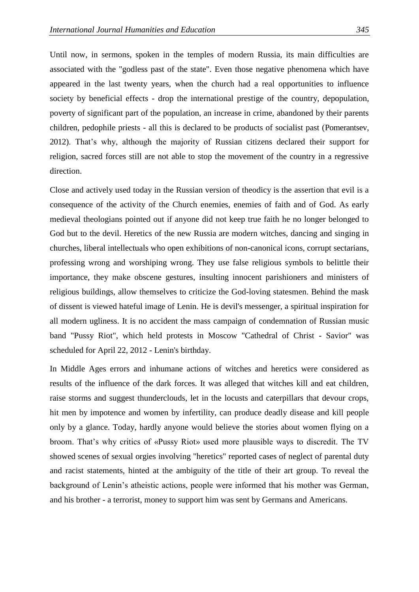Until now, in sermons, spoken in the temples of modern Russia, its main difficulties are associated with the "godless past of the state". Even those negative phenomena which have appeared in the last twenty years, when the church had a real opportunities to influence society by beneficial effects - drop the international prestige of the country, depopulation, poverty of significant part of the population, an increase in crime, abandoned by their parents children, pedophile priests - all this is declared to be products of socialist past (Pomerantsev, 2012). That's why, although the majority of Russian citizens declared their support for religion, sacred forces still are not able to stop the movement of the country in a regressive direction.

Close and actively used today in the Russian version of theodicy is the assertion that evil is a consequence of the activity of the Church enemies, enemies of faith and of God. As early medieval theologians pointed out if anyone did not keep true faith he no longer belonged to God but to the devil. Heretics of the new Russia are modern witches, dancing and singing in churches, liberal intellectuals who open exhibitions of non-canonical icons, corrupt sectarians, professing wrong and worshiping wrong. They use false religious symbols to belittle their importance, they make obscene gestures, insulting innocent parishioners and ministers of religious buildings, allow themselves to criticize the God-loving statesmen. Behind the mask of dissent is viewed hateful image of Lenin. He is devil's messenger, a spiritual inspiration for all modern ugliness. It is no accident the mass campaign of condemnation of Russian music band "Pussy Riot", which held protests in Moscow "Cathedral of Christ - Savior" was scheduled for April 22, 2012 - Lenin's birthday.

In Middle Ages errors and inhumane actions of witches and heretics were considered as results of the influence of the dark forces. It was alleged that witches kill and eat children, raise storms and suggest thunderclouds, let in the locusts and caterpillars that devour crops, hit men by impotence and women by infertility, can produce deadly disease and kill people only by a glance. Today, hardly anyone would believe the stories about women flying on a broom. That's why critics of «Pussy Riot» used more plausible ways to discredit. The TV showed scenes of sexual orgies involving "heretics" reported cases of neglect of parental duty and racist statements, hinted at the ambiguity of the title of their art group. To reveal the background of Lenin's atheistic actions, people were informed that his mother was German, and his brother - a terrorist, money to support him was sent by Germans and Americans.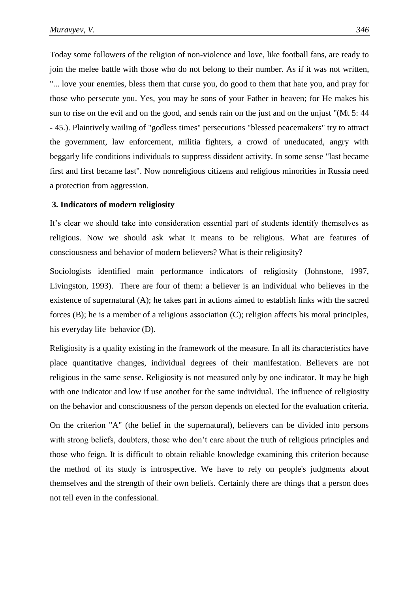Today some followers of the religion of non-violence and love, like football fans, are ready to join the melee battle with those who do not belong to their number. As if it was not written, "... love your enemies, bless them that curse you, do good to them that hate you, and pray for those who persecute you. Yes, you may be sons of your Father in heaven; for He makes his sun to rise on the evil and on the good, and sends rain on the just and on the unjust "(Mt 5: 44 - 45.). Plaintively wailing of "godless times" persecutions "blessed peacemakers" try to attract the government, law enforcement, militia fighters, a crowd of uneducated, angry with beggarly life conditions individuals to suppress dissident activity. In some sense "last became first and first became last". Now nonreligious citizens and religious minorities in Russia need a protection from aggression.

#### **3. Indicators of modern religiosity**

It's clear we should take into consideration essential part of students identify themselves as religious. Now we should ask what it means to be religious. What are features of consciousness and behavior of modern believers? What is their religiosity?

Sociologists identified main performance indicators of religiosity (Johnstone, 1997, Livingston, 1993). There are four of them: a believer is an individual who believes in the existence of supernatural (A); he takes part in actions aimed to establish links with the sacred forces (B); he is a member of a religious association (C); religion affects his moral principles, his everyday life behavior (D).

Religiosity is a quality existing in the framework of the measure. In all its characteristics have place quantitative changes, individual degrees of their manifestation. Believers are not religious in the same sense. Religiosity is not measured only by one indicator. It may be high with one indicator and low if use another for the same individual. The influence of religiosity on the behavior and consciousness of the person depends on elected for the evaluation criteria.

On the criterion "A" (the belief in the supernatural), believers can be divided into persons with strong beliefs, doubters, those who don't care about the truth of religious principles and those who feign. It is difficult to obtain reliable knowledge examining this criterion because the method of its study is introspective. We have to rely on people's judgments about themselves and the strength of their own beliefs. Certainly there are things that a person does not tell even in the confessional.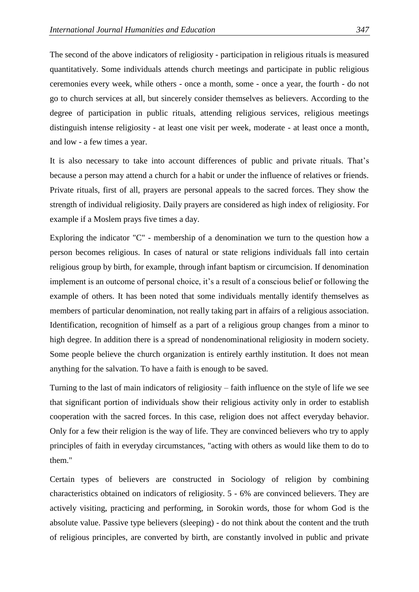The second of the above indicators of religiosity - participation in religious rituals is measured quantitatively. Some individuals attends church meetings and participate in public religious ceremonies every week, while others - once a month, some - once a year, the fourth - do not go to church services at all, but sincerely consider themselves as believers. According to the degree of participation in public rituals, attending religious services, religious meetings distinguish intense religiosity - at least one visit per week, moderate - at least once a month, and low - a few times a year.

It is also necessary to take into account differences of public and private rituals. That's because a person may attend a church for a habit or under the influence of relatives or friends. Private rituals, first of all, prayers are personal appeals to the sacred forces. They show the strength of individual religiosity. Daily prayers are considered as high index of religiosity. For example if a Moslem prays five times a day.

Exploring the indicator "C" - membership of a denomination we turn to the question how a person becomes religious. In cases of natural or state religions individuals fall into certain religious group by birth, for example, through infant baptism or circumcision. If denomination implement is an outcome of personal choice, it's a result of a conscious belief or following the example of others. It has been noted that some individuals mentally identify themselves as members of particular denomination, not really taking part in affairs of a religious association. Identification, recognition of himself as a part of a religious group changes from a minor to high degree. In addition there is a spread of nondenominational religiosity in modern society. Some people believe the church organization is entirely earthly institution. It does not mean anything for the salvation. To have a faith is enough to be saved.

Turning to the last of main indicators of religiosity – faith influence on the style of life we see that significant portion of individuals show their religious activity only in order to establish cooperation with the sacred forces. In this case, religion does not affect everyday behavior. Only for a few their religion is the way of life. They are convinced believers who try to apply principles of faith in everyday circumstances, "acting with others as would like them to do to them."

Certain types of believers are constructed in Sociology of religion by combining characteristics obtained on indicators of religiosity. 5 - 6% are convinced believers. They are actively visiting, practicing and performing, in Sorokin words, those for whom God is the absolute value. Passive type believers (sleeping) - do not think about the content and the truth of religious principles, are converted by birth, are constantly involved in public and private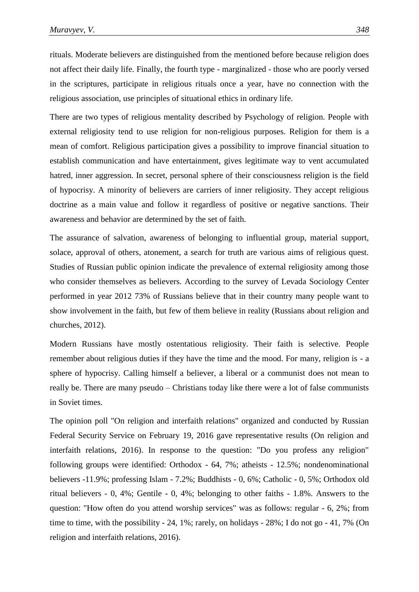rituals. Moderate believers are distinguished from the mentioned before because religion does not affect their daily life. Finally, the fourth type - marginalized - those who are poorly versed in the scriptures, participate in religious rituals once a year, have no connection with the religious association, use principles of situational ethics in ordinary life.

There are two types of religious mentality described by Psychology of religion. People with external religiosity tend to use religion for non-religious purposes. Religion for them is a mean of comfort. Religious participation gives a possibility to improve financial situation to establish communication and have entertainment, gives legitimate way to vent accumulated hatred, inner aggression. In secret, personal sphere of their consciousness religion is the field of hypocrisy. A minority of believers are carriers of inner religiosity. They accept religious doctrine as a main value and follow it regardless of positive or negative sanctions. Their awareness and behavior are determined by the set of faith.

The assurance of salvation, awareness of belonging to influential group, material support, solace, approval of others, atonement, a search for truth are various aims of religious quest. Studies of Russian public opinion indicate the prevalence of external religiosity among those who consider themselves as believers. According to the survey of Levada Sociology Center performed in year 2012 73% of Russians believe that in their country many people want to show involvement in the faith, but few of them believe in reality (Russians about religion and churches, 2012).

Modern Russians have mostly ostentatious religiosity. Their faith is selective. People remember about religious duties if they have the time and the mood. For many, religion is - a sphere of hypocrisy. Calling himself a believer, a liberal or a communist does not mean to really be. There are many pseudo – Christians today like there were a lot of false communists in Soviet times.

The opinion poll "On religion and interfaith relations" organized and conducted by Russian Federal Security Service on February 19, 2016 gave representative results (On religion and interfaith relations, 2016). In response to the question: "Do you profess any religion" following groups were identified: Orthodox - 64, 7%; atheists - 12.5%; nondenominational believers -11.9%; professing Islam - 7.2%; Buddhists - 0, 6%; Catholic - 0, 5%; Orthodox old ritual believers - 0, 4%; Gentile - 0, 4%; belonging to other faiths - 1.8%. Answers to the question: "How often do you attend worship services" was as follows: regular - 6, 2%; from time to time, with the possibility - 24, 1%; rarely, on holidays - 28%; I do not go - 41, 7% (On religion and interfaith relations, 2016).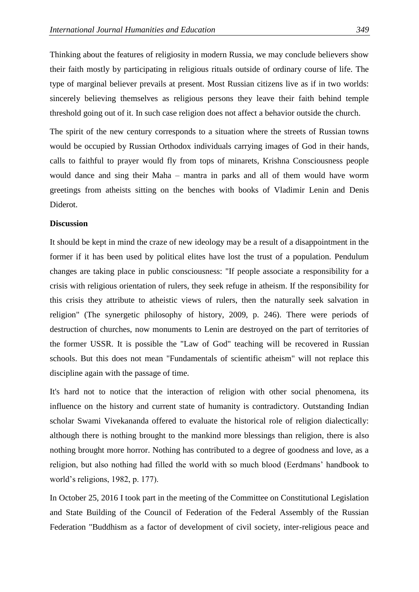Thinking about the features of religiosity in modern Russia, we may conclude believers show their faith mostly by participating in religious rituals outside of ordinary course of life. The type of marginal believer prevails at present. Most Russian citizens live as if in two worlds: sincerely believing themselves as religious persons they leave their faith behind temple threshold going out of it. In such case religion does not affect a behavior outside the church.

The spirit of the new century corresponds to a situation where the streets of Russian towns would be occupied by Russian Orthodox individuals carrying images of God in their hands, calls to faithful to prayer would fly from tops of minarets, Krishna Consciousness people would dance and sing their Maha – mantra in parks and all of them would have worm greetings from atheists sitting on the benches with books of Vladimir Lenin and Denis Diderot.

#### **Discussion**

It should be kept in mind the craze of new ideology may be a result of a disappointment in the former if it has been used by political elites have lost the trust of a population. Pendulum changes are taking place in public consciousness: "If people associate a responsibility for a crisis with religious orientation of rulers, they seek refuge in atheism. If the responsibility for this crisis they attribute to atheistic views of rulers, then the naturally seek salvation in religion" (The synergetic philosophy of history, 2009, p. 246). There were periods of destruction of churches, now monuments to Lenin are destroyed on the part of territories of the former USSR. It is possible the "Law of God" teaching will be recovered in Russian schools. But this does not mean "Fundamentals of scientific atheism" will not replace this discipline again with the passage of time.

It's hard not to notice that the interaction of religion with other social phenomena, its influence on the history and current state of humanity is contradictory. Outstanding Indian scholar Swami Vivekananda offered to evaluate the historical role of religion dialectically: although there is nothing brought to the mankind more blessings than religion, there is also nothing brought more horror. Nothing has contributed to a degree of goodness and love, as a religion, but also nothing had filled the world with so much blood (Eerdmans' handbook to world's religions, 1982, p. 177).

In October 25, 2016 I took part in the meeting of the Committee on Constitutional Legislation and State Building of the Council of Federation of the Federal Assembly of the Russian Federation "Buddhism as a factor of development of civil society, inter-religious peace and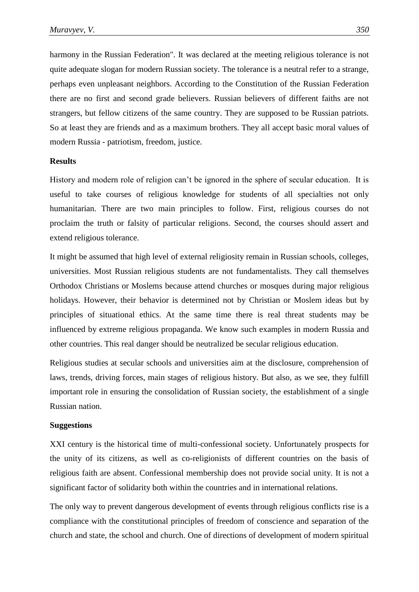harmony in the Russian Federation". It was declared at the meeting religious tolerance is not quite adequate slogan for modern Russian society. The tolerance is a neutral refer to a strange, perhaps even unpleasant neighbors. According to the Constitution of the Russian Federation there are no first and second grade believers. Russian believers of different faiths are not strangers, but fellow citizens of the same country. They are supposed to be Russian patriots. So at least they are friends and as a maximum brothers. They all accept basic moral values of modern Russia - patriotism, freedom, justice.

#### **Results**

History and modern role of religion can't be ignored in the sphere of secular education. It is useful to take courses of religious knowledge for students of all specialties not only humanitarian. There are two main principles to follow. First, religious courses do not proclaim the truth or falsity of particular religions. Second, the courses should assert and extend religious tolerance.

It might be assumed that high level of external religiosity remain in Russian schools, colleges, universities. Most Russian religious students are not fundamentalists. They call themselves Orthodox Christians or Moslems because attend churches or mosques during major religious holidays. However, their behavior is determined not by Christian or Moslem ideas but by principles of situational ethics. At the same time there is real threat students may be influenced by extreme religious propaganda. We know such examples in modern Russia and other countries. This real danger should be neutralized be secular religious education.

Religious studies at secular schools and universities aim at the disclosure, comprehension of laws, trends, driving forces, main stages of religious history. But also, as we see, they fulfill important role in ensuring the consolidation of Russian society, the establishment of a single Russian nation.

#### **Suggestions**

XXI century is the historical time of multi-confessional society. Unfortunately prospects for the unity of its citizens, as well as co-religionists of different countries on the basis of religious faith are absent. Confessional membership does not provide social unity. It is not a significant factor of solidarity both within the countries and in international relations.

The only way to prevent dangerous development of events through religious conflicts rise is a compliance with the constitutional principles of freedom of conscience and separation of the church and state, the school and church. One of directions of development of modern spiritual